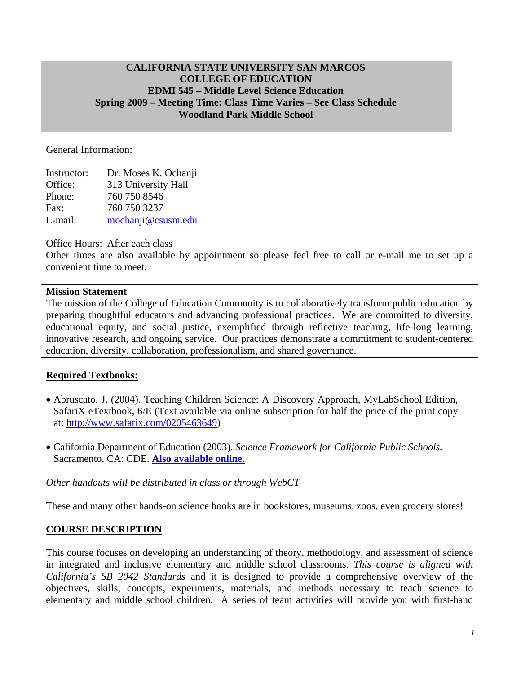#### **CALIFORNIA STATE UNIVERSITY SAN MARCOS COLLEGE OF EDUCATION EDMI 545 – Middle Level Science Education Spring 2009 – Meeting Time: Class Time Varies – See Class Schedule Woodland Park Middle School**

General Information:

| Instructor: | Dr. Moses K. Ochanji |
|-------------|----------------------|
| Office:     | 313 University Hall  |
| Phone:      | 760 750 8546         |
| Fax:        | 760 750 3237         |
| E-mail:     | mochanji@csusm.edu   |

Office Hours: After each class

Other times are also available by appointment so please feel free to call or e-mail me to set up a convenient time to meet.

#### **Mission Statement**

The mission of the College of Education Community is to collaboratively transform public education by preparing thoughtful educators and advancing professional practices. We are committed to diversity, educational equity, and social justice, exemplified through reflective teaching, life-long learning, innovative research, and ongoing service. Our practices demonstrate a commitment to student-centered education, diversity, collaboration, professionalism, and shared governance.

### **Required Textbooks:**

- Abruscato, J. (2004). Teaching Children Science: A Discovery Approach, MyLabSchool Edition, SafariX eTextbook, 6/E (Text available via online subscription for half the price of the print copy at: http://www.safarix.com/0205463649)
- • California Department of Education (2003). *Science Framework for California Public Schools.* Sacramento, CA: CDE. **Also available online.**

### *Other handouts will be distributed in class or through WebCT*

These and many other hands-on science books are in bookstores, museums, zoos, even grocery stores!

### **COURSE DESCRIPTION**

This course focuses on developing an understanding of theory, methodology, and assessment of science in integrated and inclusive elementary and middle school classrooms. *This course is aligned with California's SB 2042 Standards* and it is designed to provide a comprehensive overview of the objectives, skills, concepts, experiments, materials, and methods necessary to teach science to elementary and middle school children. A series of team activities will provide you with first-hand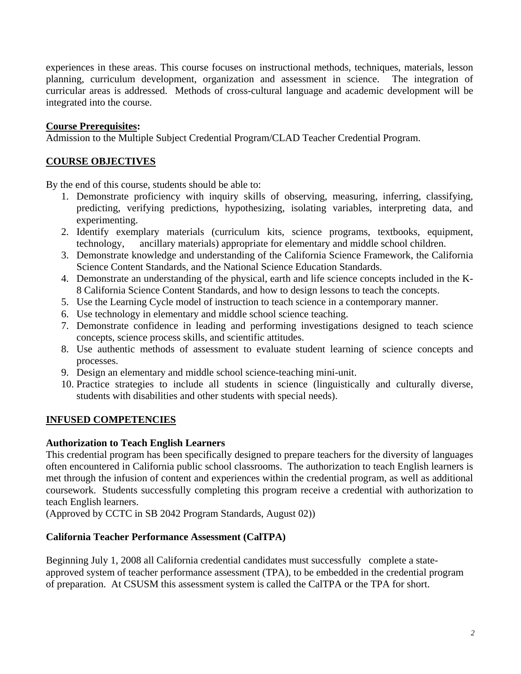experiences in these areas. This course focuses on instructional methods, techniques, materials, lesson planning, curriculum development, organization and assessment in science. The integration of curricular areas is addressed. Methods of cross-cultural language and academic development will be integrated into the course.

### **Course Prerequisites:**

Admission to the Multiple Subject Credential Program/CLAD Teacher Credential Program.

## **COURSE OBJECTIVES**

By the end of this course, students should be able to:

- 1. Demonstrate proficiency with inquiry skills of observing, measuring, inferring, classifying, predicting, verifying predictions, hypothesizing, isolating variables, interpreting data, and experimenting.
- 2. Identify exemplary materials (curriculum kits, science programs, textbooks, equipment, technology, ancillary materials) appropriate for elementary and middle school children.
- 3. Demonstrate knowledge and understanding of the California Science Framework, the California Science Content Standards, and the National Science Education Standards.
- 4. Demonstrate an understanding of the physical, earth and life science concepts included in the K-8 California Science Content Standards, and how to design lessons to teach the concepts.
- 5. Use the Learning Cycle model of instruction to teach science in a contemporary manner.
- 6. Use technology in elementary and middle school science teaching.
- 7. Demonstrate confidence in leading and performing investigations designed to teach science concepts, science process skills, and scientific attitudes.
- 8. Use authentic methods of assessment to evaluate student learning of science concepts and processes.
- 9. Design an elementary and middle school science-teaching mini-unit.
- 10. Practice strategies to include all students in science (linguistically and culturally diverse, students with disabilities and other students with special needs).

### **INFUSED COMPETENCIES**

#### **Authorization to Teach English Learners**

This credential program has been specifically designed to prepare teachers for the diversity of languages often encountered in California public school classrooms. The authorization to teach English learners is met through the infusion of content and experiences within the credential program, as well as additional coursework. Students successfully completing this program receive a credential with authorization to teach English learners.

(Approved by CCTC in SB 2042 Program Standards, August 02))

#### **California Teacher Performance Assessment (CalTPA)**

Beginning July 1, 2008 all California credential candidates must successfully complete a stateapproved system of teacher performance assessment (TPA), to be embedded in the credential program of preparation. At CSUSM this assessment system is called the CalTPA or the TPA for short.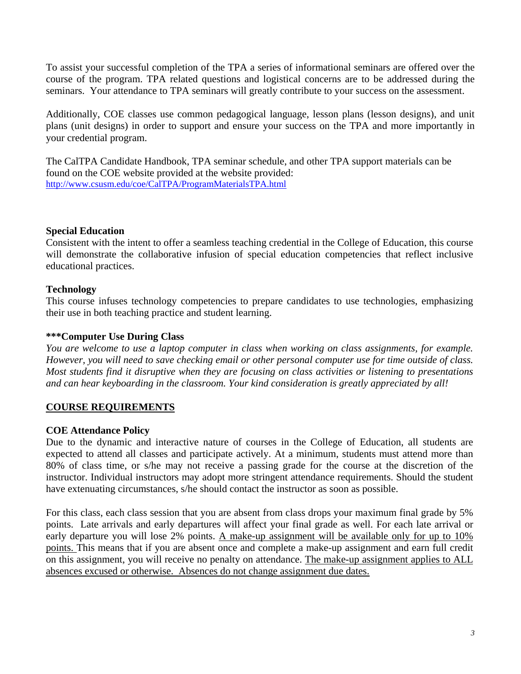To assist your successful completion of the TPA a series of informational seminars are offered over the course of the program. TPA related questions and logistical concerns are to be addressed during the seminars. Your attendance to TPA seminars will greatly contribute to your success on the assessment.

Additionally, COE classes use common pedagogical language, lesson plans (lesson designs), and unit plans (unit designs) in order to support and ensure your success on the TPA and more importantly in your credential program.

The CalTPA Candidate Handbook, TPA seminar schedule, and other TPA support materials can be found on the COE website provided at the website provided: http://www.csusm.edu/coe/CalTPA/ProgramMaterialsTPA.html

#### **Special Education**

Consistent with the intent to offer a seamless teaching credential in the College of Education, this course will demonstrate the collaborative infusion of special education competencies that reflect inclusive educational practices.

### **Technology**

This course infuses technology competencies to prepare candidates to use technologies, emphasizing their use in both teaching practice and student learning.

#### **\*\*\*Computer Use During Class**

*You are welcome to use a laptop computer in class when working on class assignments, for example. However, you will need to save checking email or other personal computer use for time outside of class. Most students find it disruptive when they are focusing on class activities or listening to presentations and can hear keyboarding in the classroom. Your kind consideration is greatly appreciated by all!* 

### **COURSE REQUIREMENTS**

#### **COE Attendance Policy**

Due to the dynamic and interactive nature of courses in the College of Education, all students are expected to attend all classes and participate actively. At a minimum, students must attend more than 80% of class time, or s/he may not receive a passing grade for the course at the discretion of the instructor. Individual instructors may adopt more stringent attendance requirements. Should the student have extenuating circumstances, s/he should contact the instructor as soon as possible.

For this class, each class session that you are absent from class drops your maximum final grade by 5% points. Late arrivals and early departures will affect your final grade as well. For each late arrival or early departure you will lose 2% points. A make-up assignment will be available only for up to 10% points. This means that if you are absent once and complete a make-up assignment and earn full credit on this assignment, you will receive no penalty on attendance. The make-up assignment applies to ALL absences excused or otherwise. Absences do not change assignment due dates.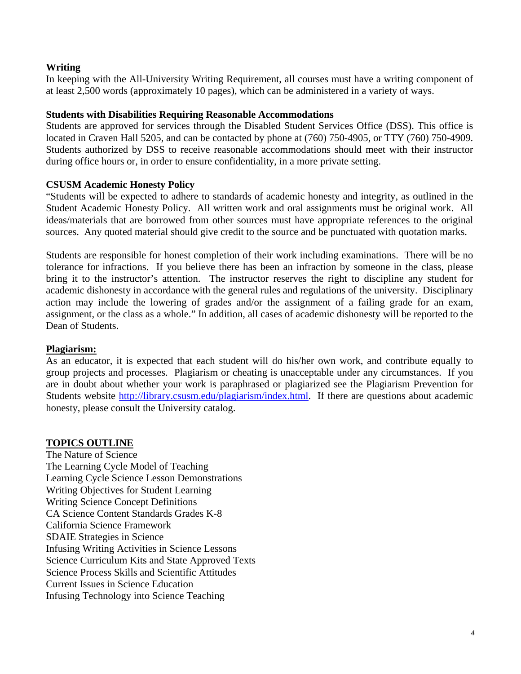### **Writing**

In keeping with the All-University Writing Requirement, all courses must have a writing component of at least 2,500 words (approximately 10 pages), which can be administered in a variety of ways.

### **Students with Disabilities Requiring Reasonable Accommodations**

Students are approved for services through the Disabled Student Services Office (DSS). This office is located in Craven Hall 5205, and can be contacted by phone at (760) 750-4905, or TTY (760) 750-4909. Students authorized by DSS to receive reasonable accommodations should meet with their instructor during office hours or, in order to ensure confidentiality, in a more private setting.

## **CSUSM Academic Honesty Policy**

"Students will be expected to adhere to standards of academic honesty and integrity, as outlined in the Student Academic Honesty Policy. All written work and oral assignments must be original work. All ideas/materials that are borrowed from other sources must have appropriate references to the original sources. Any quoted material should give credit to the source and be punctuated with quotation marks.

Students are responsible for honest completion of their work including examinations. There will be no tolerance for infractions. If you believe there has been an infraction by someone in the class, please bring it to the instructor's attention. The instructor reserves the right to discipline any student for academic dishonesty in accordance with the general rules and regulations of the university. Disciplinary action may include the lowering of grades and/or the assignment of a failing grade for an exam, assignment, or the class as a whole." In addition, all cases of academic dishonesty will be reported to the Dean of Students.

# **Plagiarism:**

As an educator, it is expected that each student will do his/her own work, and contribute equally to group projects and processes. Plagiarism or cheating is unacceptable under any circumstances. If you are in doubt about whether your work is paraphrased or plagiarized see the Plagiarism Prevention for Students website http://library.csusm.edu/plagiarism/index.html. If there are questions about academic honesty, please consult the University catalog.

# **TOPICS OUTLINE**

The Nature of Science The Learning Cycle Model of Teaching Learning Cycle Science Lesson Demonstrations Writing Objectives for Student Learning Writing Science Concept Definitions CA Science Content Standards Grades K-8 California Science Framework SDAIE Strategies in Science Infusing Writing Activities in Science Lessons Science Curriculum Kits and State Approved Texts Science Process Skills and Scientific Attitudes Current Issues in Science Education Infusing Technology into Science Teaching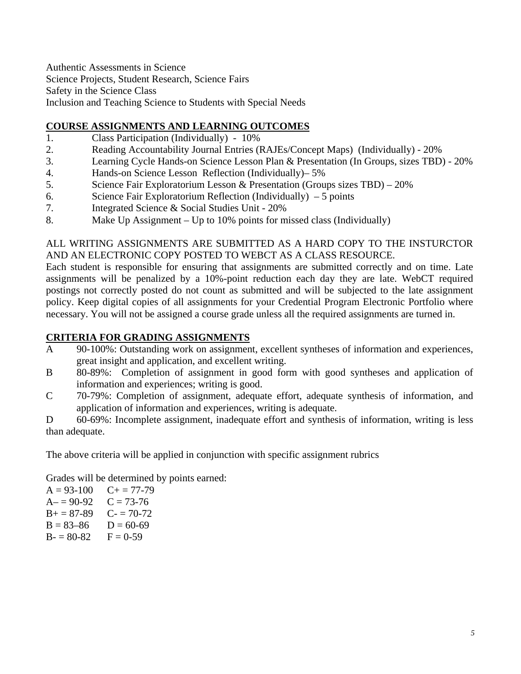Authentic Assessments in Science Science Projects, Student Research, Science Fairs Safety in the Science Class Inclusion and Teaching Science to Students with Special Needs

# **COURSE ASSIGNMENTS AND LEARNING OUTCOMES**

- 1. Class Participation (Individually) 10%
- 2. Reading Accountability Journal Entries (RAJEs/Concept Maps) (Individually) 20%
- 3. Learning Cycle Hands-on Science Lesson Plan & Presentation (In Groups, sizes TBD) 20%
- 4. Hands-on Science Lesson Reflection (Individually)– 5%
- 5. Science Fair Exploratorium Lesson & Presentation (Groups sizes TBD) 20%
- 6. Science Fair Exploratorium Reflection (Individually) 5 points
- 7. Integrated Science & Social Studies Unit 20%
- 8. Make Up Assignment Up to 10% points for missed class (Individually)

#### ALL WRITING ASSIGNMENTS ARE SUBMITTED AS A HARD COPY TO THE INSTURCTOR AND AN ELECTRONIC COPY POSTED TO WEBCT AS A CLASS RESOURCE.

Each student is responsible for ensuring that assignments are submitted correctly and on time. Late assignments will be penalized by a 10%-point reduction each day they are late. WebCT required postings not correctly posted do not count as submitted and will be subjected to the late assignment policy. Keep digital copies of all assignments for your Credential Program Electronic Portfolio where necessary. You will not be assigned a course grade unless all the required assignments are turned in.

### **CRITERIA FOR GRADING ASSIGNMENTS**

- A 90-100%: Outstanding work on assignment, excellent syntheses of information and experiences, great insight and application, and excellent writing.
- B 80-89%: Completion of assignment in good form with good syntheses and application of information and experiences; writing is good.
- C 70-79%: Completion of assignment, adequate effort, adequate synthesis of information, and application of information and experiences, writing is adequate.

D 60-69%: Incomplete assignment, inadequate effort and synthesis of information, writing is less than adequate.

The above criteria will be applied in conjunction with specific assignment rubrics

Grades will be determined by points earned:<br>A =  $93-100$  C + =  $77-79$ 

 $A = 90-92$   $C = 73-76$  $B_+ = 87-89$  C- = 70-72  $B = 83-86$   $D = 60-69$  $B - 80 - 82$   $F = 0 - 59$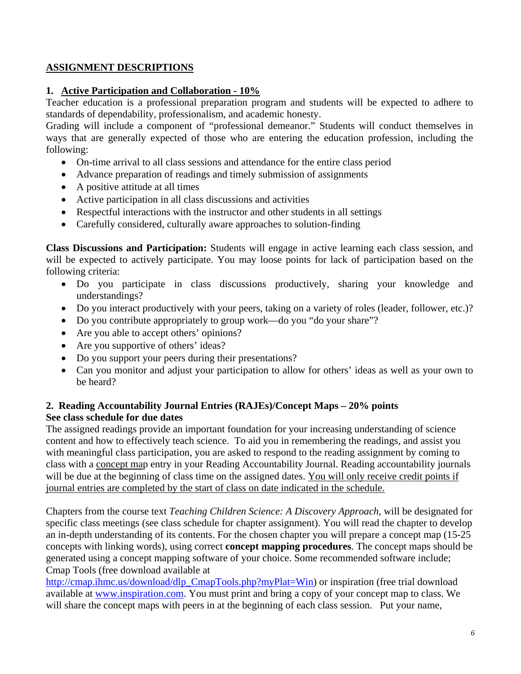# **ASSIGNMENT DESCRIPTIONS**

### **1. Active Participation and Collaboration - 10%**

Teacher education is a professional preparation program and students will be expected to adhere to standards of dependability, professionalism, and academic honesty.

Grading will include a component of "professional demeanor." Students will conduct themselves in ways that are generally expected of those who are entering the education profession, including the following:

- On-time arrival to all class sessions and attendance for the entire class period
- Advance preparation of readings and timely submission of assignments
- A positive attitude at all times
- Active participation in all class discussions and activities
- Respectful interactions with the instructor and other students in all settings
- Carefully considered, culturally aware approaches to solution-finding

**Class Discussions and Participation:** Students will engage in active learning each class session, and will be expected to actively participate. You may loose points for lack of participation based on the following criteria:

- Do you participate in class discussions productively, sharing your knowledge and understandings?
- Do you interact productively with your peers, taking on a variety of roles (leader, follower, etc.)?
- Do you contribute appropriately to group work—do you "do your share"?
- Are you able to accept others' opinions?
- Are you supportive of others' ideas?
- Do you support your peers during their presentations?
- Can you monitor and adjust your participation to allow for others' ideas as well as your own to be heard?

## **2. Reading Accountability Journal Entries (RAJEs)/Concept Maps – 20% points See class schedule for due dates**

The assigned readings provide an important foundation for your increasing understanding of science content and how to effectively teach science. To aid you in remembering the readings, and assist you with meaningful class participation, you are asked to respond to the reading assignment by coming to class with a concept map entry in your Reading Accountability Journal. Reading accountability journals will be due at the beginning of class time on the assigned dates. You will only receive credit points if journal entries are completed by the start of class on date indicated in the schedule.

Chapters from the course text *Teaching Children Science: A Discovery Approach*, will be designated for specific class meetings (see class schedule for chapter assignment). You will read the chapter to develop an in-depth understanding of its contents. For the chosen chapter you will prepare a concept map (15-25 concepts with linking words), using correct **concept mapping procedures**. The concept maps should be generated using a concept mapping software of your choice. Some recommended software include; Cmap Tools (free download available at

http://cmap.ihmc.us/download/dlp\_CmapTools.php?myPlat=Win) or inspiration (free trial download available at www.inspiration.com. You must print and bring a copy of your concept map to class. We will share the concept maps with peers in at the beginning of each class session. Put your name,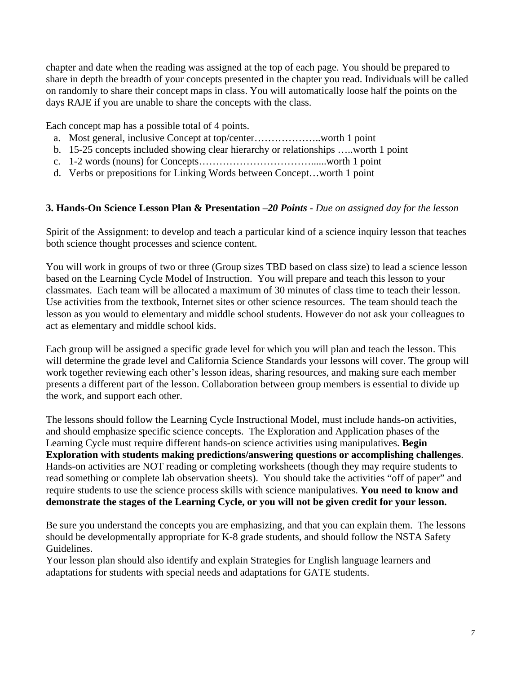chapter and date when the reading was assigned at the top of each page. You should be prepared to share in depth the breadth of your concepts presented in the chapter you read. Individuals will be called on randomly to share their concept maps in class. You will automatically loose half the points on the days RAJE if you are unable to share the concepts with the class.

Each concept map has a possible total of 4 points.

- a. Most general, inclusive Concept at top/center………………..worth 1 point
- b. 15-25 concepts included showing clear hierarchy or relationships …..worth 1 point
- c. 1-2 words (nouns) for Concepts……………………………......worth 1 point
- d. Verbs or prepositions for Linking Words between Concept…worth 1 point

#### **3. Hands-On Science Lesson Plan & Presentation** –*20 Points - Due on assigned day for the lesson*

Spirit of the Assignment: to develop and teach a particular kind of a science inquiry lesson that teaches both science thought processes and science content.

You will work in groups of two or three (Group sizes TBD based on class size) to lead a science lesson based on the Learning Cycle Model of Instruction. You will prepare and teach this lesson to your classmates. Each team will be allocated a maximum of 30 minutes of class time to teach their lesson. Use activities from the textbook, Internet sites or other science resources. The team should teach the lesson as you would to elementary and middle school students. However do not ask your colleagues to act as elementary and middle school kids.

Each group will be assigned a specific grade level for which you will plan and teach the lesson. This will determine the grade level and California Science Standards your lessons will cover. The group will work together reviewing each other's lesson ideas, sharing resources, and making sure each member presents a different part of the lesson. Collaboration between group members is essential to divide up the work, and support each other.

The lessons should follow the Learning Cycle Instructional Model, must include hands-on activities, and should emphasize specific science concepts. The Exploration and Application phases of the Learning Cycle must require different hands-on science activities using manipulatives. **Begin Exploration with students making predictions/answering questions or accomplishing challenges**. Hands-on activities are NOT reading or completing worksheets (though they may require students to read something or complete lab observation sheets). You should take the activities "off of paper" and require students to use the science process skills with science manipulatives. **You need to know and demonstrate the stages of the Learning Cycle, or you will not be given credit for your lesson.** 

Be sure you understand the concepts you are emphasizing, and that you can explain them. The lessons should be developmentally appropriate for K-8 grade students, and should follow the NSTA Safety Guidelines.

Your lesson plan should also identify and explain Strategies for English language learners and adaptations for students with special needs and adaptations for GATE students.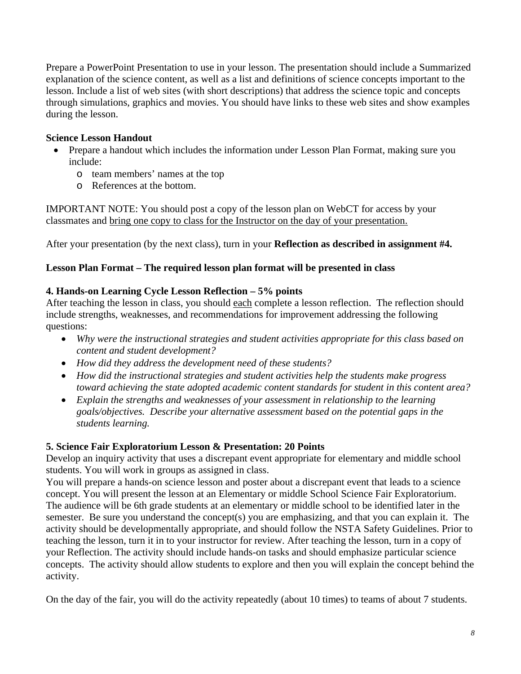Prepare a PowerPoint Presentation to use in your lesson. The presentation should include a Summarized explanation of the science content, as well as a list and definitions of science concepts important to the lesson. Include a list of web sites (with short descriptions) that address the science topic and concepts through simulations, graphics and movies. You should have links to these web sites and show examples during the lesson.

### **Science Lesson Handout**

- Prepare a handout which includes the information under Lesson Plan Format, making sure you include:
	- o team members' names at the top
	- o References at the bottom.

classmates and bring one copy to class for the Instructor on the day of your presentation. IMPORTANT NOTE: You should post a copy of the lesson plan on WebCT for access by your

After your presentation (by the next class), turn in your **Reflection as described in assignment #4.** 

### **Lesson Plan Format – The required lesson plan format will be presented in class**

### **4. Hands-on Learning Cycle Lesson Reflection – 5% points**

After teaching the lesson in class, you should each complete a lesson reflection. The reflection should include strengths, weaknesses, and recommendations for improvement addressing the following questions:

- • *Why were the instructional strategies and student activities appropriate for this class based on content and student development?*
- • *How did they address the development need of these students?*
- • *How did the instructional strategies and student activities help the students make progress toward achieving the state adopted academic content standards for student in this content area?*
- • *Explain the strengths and weaknesses of your assessment in relationship to the learning goals/objectives. Describe your alternative assessment based on the potential gaps in the students learning.*

### **5. Science Fair Exploratorium Lesson & Presentation: 20 Points**

Develop an inquiry activity that uses a discrepant event appropriate for elementary and middle school students. You will work in groups as assigned in class.

You will prepare a hands-on science lesson and poster about a discrepant event that leads to a science concept. You will present the lesson at an Elementary or middle School Science Fair Exploratorium. The audience will be 6th grade students at an elementary or middle school to be identified later in the semester. Be sure you understand the concept(s) you are emphasizing, and that you can explain it. The activity should be developmentally appropriate, and should follow the NSTA Safety Guidelines. Prior to teaching the lesson, turn it in to your instructor for review. After teaching the lesson, turn in a copy of your Reflection. The activity should include hands-on tasks and should emphasize particular science concepts. The activity should allow students to explore and then you will explain the concept behind the activity.

On the day of the fair, you will do the activity repeatedly (about 10 times) to teams of about 7 students.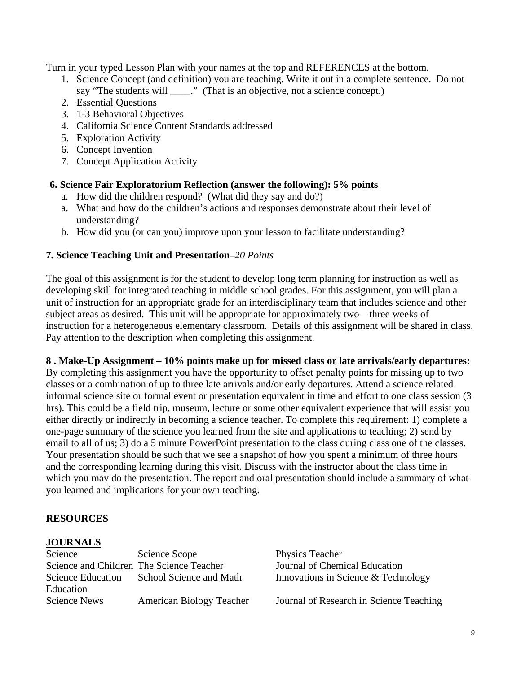Turn in your typed Lesson Plan with your names at the top and REFERENCES at the bottom.

- 1. Science Concept (and definition) you are teaching. Write it out in a complete sentence. Do not say "The students will \_\_\_\_." (That is an objective, not a science concept.)
- 2. Essential Questions
- 3. 1-3 Behavioral Objectives
- 4. California Science Content Standards addressed
- 5. Exploration Activity
- 6. Concept Invention
- 7. Concept Application Activity

### **6. Science Fair Exploratorium Reflection (answer the following): 5% points**

- a. How did the children respond? (What did they say and do?)
- a. What and how do the children's actions and responses demonstrate about their level of understanding?
- b. How did you (or can you) improve upon your lesson to facilitate understanding?

## **7. Science Teaching Unit and Presentation**–*20 Points*

 instruction for a heterogeneous elementary classroom. Details of this assignment will be shared in class. The goal of this assignment is for the student to develop long term planning for instruction as well as developing skill for integrated teaching in middle school grades. For this assignment, you will plan a unit of instruction for an appropriate grade for an interdisciplinary team that includes science and other subject areas as desired. This unit will be appropriate for approximately two – three weeks of Pay attention to the description when completing this assignment.

### **8 . Make-Up Assignment – 10% points make up for missed class or late arrivals/early departures:**

By completing this assignment you have the opportunity to offset penalty points for missing up to two classes or a combination of up to three late arrivals and/or early departures. Attend a science related informal science site or formal event or presentation equivalent in time and effort to one class session (3 hrs). This could be a field trip, museum, lecture or some other equivalent experience that will assist you either directly or indirectly in becoming a science teacher. To complete this requirement: 1) complete a one-page summary of the science you learned from the site and applications to teaching; 2) send by email to all of us; 3) do a 5 minute PowerPoint presentation to the class during class one of the classes. Your presentation should be such that we see a snapshot of how you spent a minimum of three hours and the corresponding learning during this visit. Discuss with the instructor about the class time in which you may do the presentation. The report and oral presentation should include a summary of what you learned and implications for your own teaching.

### **RESOURCES**

### **JOURNALS**

| Science                                  | Science Scope                             |
|------------------------------------------|-------------------------------------------|
| Science and Children The Science Teacher |                                           |
|                                          | Science Education School Science and Math |
| Education                                |                                           |
| <b>Science News</b>                      | <b>American Biology Teacher</b>           |
|                                          |                                           |

Physics Teacher Journal of Chemical Education Innovations in Science & Technology

Journal of Research in Science Teaching